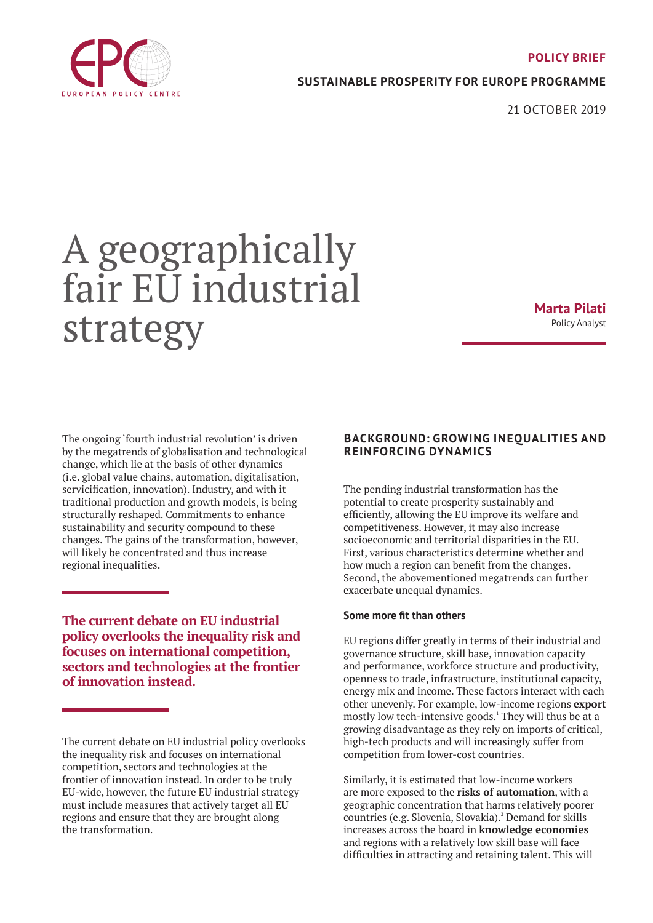

## **SUSTAINABLE PROSPERITY FOR EUROPE PROGRAMME**

21 OCTOBER 2019

# A geographically fair EU industrial strategy

**Marta Pilati** Policy Analyst

The ongoing 'fourth industrial revolution' is driven by the megatrends of globalisation and technological change, which lie at the basis of other dynamics (i.e. global value chains, automation, digitalisation, servicification, innovation). Industry, and with it traditional production and growth models, is being structurally reshaped. Commitments to enhance sustainability and security compound to these changes. The gains of the transformation, however, will likely be concentrated and thus increase regional inequalities.

**The current debate on EU industrial policy overlooks the inequality risk and focuses on international competition, sectors and technologies at the frontier of innovation instead.** 

The current debate on EU industrial policy overlooks the inequality risk and focuses on international competition, sectors and technologies at the frontier of innovation instead. In order to be truly EU-wide, however, the future EU industrial strategy must include measures that actively target all EU regions and ensure that they are brought along the transformation.

## **BACKGROUND: GROWING INEQUALITIES AND REINFORCING DYNAMICS**

The pending industrial transformation has the potential to create prosperity sustainably and efficiently, allowing the EU improve its welfare and competitiveness. However, it may also increase socioeconomic and territorial disparities in the EU. First, various characteristics determine whether and how much a region can benefit from the changes. Second, the abovementioned megatrends can further exacerbate unequal dynamics.

#### **Some more fit than others**

EU regions differ greatly in terms of their industrial and governance structure, skill base, innovation capacity and performance, workforce structure and productivity, openness to trade, infrastructure, institutional capacity, energy mix and income. These factors interact with each other unevenly. For example, low-income regions **export** mostly low tech-intensive goods.<sup>1</sup> They will thus be at a growing disadvantage as they rely on imports of critical, high-tech products and will increasingly suffer from competition from lower-cost countries.

Similarly, it is estimated that low-income workers are more exposed to the **risks of automation**, with a geographic concentration that harms relatively poorer countries (e.g. Slovenia, Slovakia).<sup>2</sup> Demand for skills increases across the board in **knowledge economies** and regions with a relatively low skill base will face difficulties in attracting and retaining talent. This will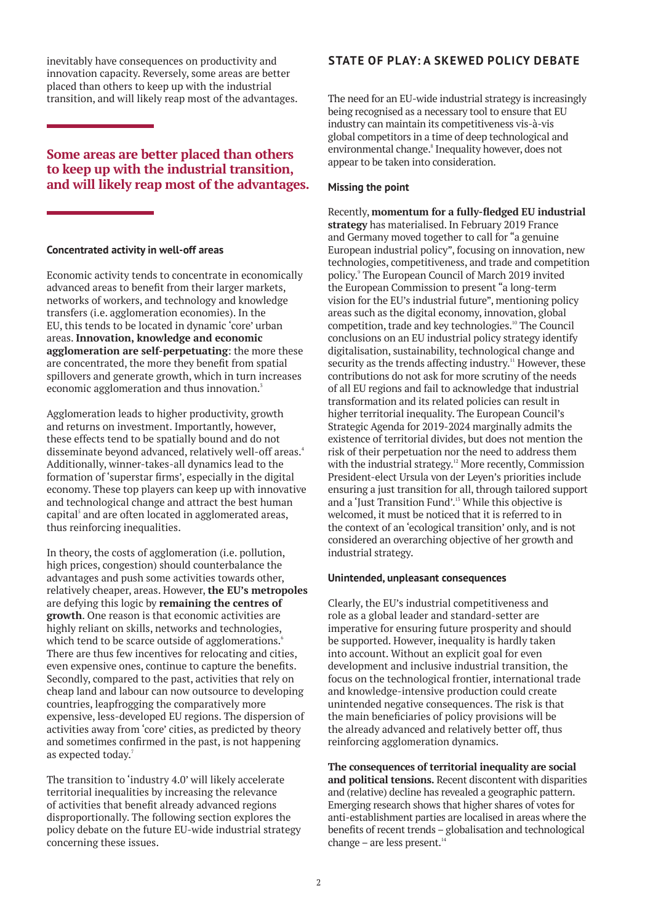inevitably have consequences on productivity and innovation capacity. Reversely, some areas are better placed than others to keep up with the industrial transition, and will likely reap most of the advantages.

# **Some areas are better placed than others to keep up with the industrial transition, and will likely reap most of the advantages.**

#### **Concentrated activity in well-off areas**

Economic activity tends to concentrate in economically advanced areas to benefit from their larger markets, networks of workers, and technology and knowledge transfers (i.e. agglomeration economies). In the EU, this tends to be located in dynamic 'core' urban areas. **Innovation, knowledge and economic agglomeration are self-perpetuating**: the more these are concentrated, the more they benefit from spatial spillovers and generate growth, which in turn increases economic agglomeration and thus innovation.<sup>3</sup>

Agglomeration leads to higher productivity, growth and returns on investment. Importantly, however, these effects tend to be spatially bound and do not disseminate beyond advanced, relatively well-off areas.<sup>4</sup> Additionally, winner-takes-all dynamics lead to the formation of 'superstar firms', especially in the digital economy. These top players can keep up with innovative and technological change and attract the best human capital<sup>5</sup> and are often located in agglomerated areas, thus reinforcing inequalities.

In theory, the costs of agglomeration (i.e. pollution, high prices, congestion) should counterbalance the advantages and push some activities towards other, relatively cheaper, areas. However, **the EU's metropoles** are defying this logic by **remaining the centres of growth**. One reason is that economic activities are highly reliant on skills, networks and technologies, which tend to be scarce outside of agglomerations.<sup>6</sup> There are thus few incentives for relocating and cities, even expensive ones, continue to capture the benefits. Secondly, compared to the past, activities that rely on cheap land and labour can now outsource to developing countries, leapfrogging the comparatively more expensive, less-developed EU regions. The dispersion of activities away from 'core' cities, as predicted by theory and sometimes confirmed in the past, is not happening as expected today.<sup>7</sup>

The transition to 'industry 4.0' will likely accelerate territorial inequalities by increasing the relevance of activities that benefit already advanced regions disproportionally. The following section explores the policy debate on the future EU-wide industrial strategy concerning these issues.

## **STATE OF PLAY: A SKEWED POLICY DEBATE**

The need for an EU-wide industrial strategy is increasingly being recognised as a necessary tool to ensure that EU industry can maintain its competitiveness vis-à-vis global competitors in a time of deep technological and environmental change.<sup>8</sup> Inequality however, does not appear to be taken into consideration.

#### **Missing the point**

Recently, **momentum for a fully-fledged EU industrial strategy** has materialised. In February 2019 France and Germany moved together to call for "a genuine European industrial policy", focusing on innovation, new technologies, competitiveness, and trade and competition policy.<sup>9</sup> The European Council of March 2019 invited the European Commission to present "a long-term vision for the EU's industrial future", mentioning policy areas such as the digital economy, innovation, global competition, trade and key technologies.<sup>10</sup> The Council conclusions on an EU industrial policy strategy identify digitalisation, sustainability, technological change and security as the trends affecting industry.<sup>11</sup> However, these contributions do not ask for more scrutiny of the needs of all EU regions and fail to acknowledge that industrial transformation and its related policies can result in higher territorial inequality. The European Council's Strategic Agenda for 2019-2024 marginally admits the existence of territorial divides, but does not mention the risk of their perpetuation nor the need to address them with the industrial strategy.<sup>12</sup> More recently, Commission President-elect Ursula von der Leyen's priorities include ensuring a just transition for all, through tailored support and a 'Just Transition Fund'.13 While this objective is welcomed, it must be noticed that it is referred to in the context of an 'ecological transition' only, and is not considered an overarching objective of her growth and industrial strategy.

#### **Unintended, unpleasant consequences**

Clearly, the EU's industrial competitiveness and role as a global leader and standard-setter are imperative for ensuring future prosperity and should be supported. However, inequality is hardly taken into account. Without an explicit goal for even development and inclusive industrial transition, the focus on the technological frontier, international trade and knowledge-intensive production could create unintended negative consequences. The risk is that the main beneficiaries of policy provisions will be the already advanced and relatively better off, thus reinforcing agglomeration dynamics.

**The consequences of territorial inequality are social and political tensions.** Recent discontent with disparities and (relative) decline has revealed a geographic pattern. Emerging research shows that higher shares of votes for anti-establishment parties are localised in areas where the benefits of recent trends – globalisation and technological change – are less present.<sup>14</sup>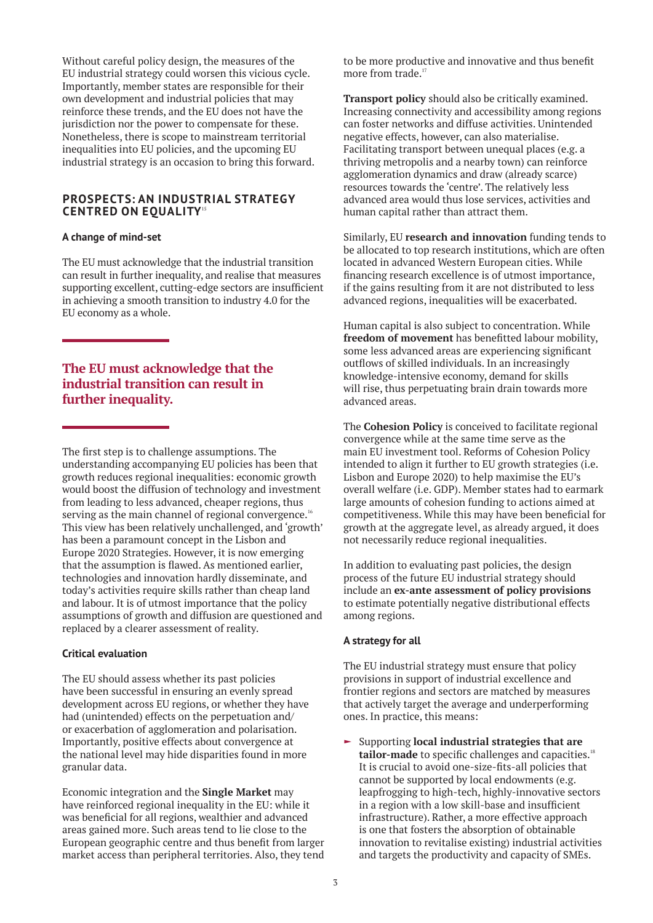Without careful policy design, the measures of the EU industrial strategy could worsen this vicious cycle. Importantly, member states are responsible for their own development and industrial policies that may reinforce these trends, and the EU does not have the jurisdiction nor the power to compensate for these. Nonetheless, there is scope to mainstream territorial inequalities into EU policies, and the upcoming EU industrial strategy is an occasion to bring this forward.

### **PROSPECTS: AN INDUSTRIAL STRATEGY CENTRED ON EQUALITY**<sup>15</sup>

#### **A change of mind-set**

The EU must acknowledge that the industrial transition can result in further inequality, and realise that measures supporting excellent, cutting-edge sectors are insufficient in achieving a smooth transition to industry 4.0 for the EU economy as a whole.

# **The EU must acknowledge that the industrial transition can result in further inequality.**

The first step is to challenge assumptions. The understanding accompanying EU policies has been that growth reduces regional inequalities: economic growth would boost the diffusion of technology and investment from leading to less advanced, cheaper regions, thus serving as the main channel of regional convergence.<sup>16</sup> This view has been relatively unchallenged, and 'growth' has been a paramount concept in the Lisbon and Europe 2020 Strategies. However, it is now emerging that the assumption is flawed. As mentioned earlier, technologies and innovation hardly disseminate, and today's activities require skills rather than cheap land and labour. It is of utmost importance that the policy assumptions of growth and diffusion are questioned and replaced by a clearer assessment of reality.

#### **Critical evaluation**

The EU should assess whether its past policies have been successful in ensuring an evenly spread development across EU regions, or whether they have had (unintended) effects on the perpetuation and/ or exacerbation of agglomeration and polarisation. Importantly, positive effects about convergence at the national level may hide disparities found in more granular data.

Economic integration and the **Single Market** may have reinforced regional inequality in the EU: while it was beneficial for all regions, wealthier and advanced areas gained more. Such areas tend to lie close to the European geographic centre and thus benefit from larger market access than peripheral territories. Also, they tend

to be more productive and innovative and thus benefit more from trade.<sup>17</sup>

**Transport policy** should also be critically examined. Increasing connectivity and accessibility among regions can foster networks and diffuse activities. Unintended negative effects, however, can also materialise. Facilitating transport between unequal places (e.g. a thriving metropolis and a nearby town) can reinforce agglomeration dynamics and draw (already scarce) resources towards the 'centre'. The relatively less advanced area would thus lose services, activities and human capital rather than attract them.

Similarly, EU **research and innovation** funding tends to be allocated to top research institutions, which are often located in advanced Western European cities. While financing research excellence is of utmost importance, if the gains resulting from it are not distributed to less advanced regions, inequalities will be exacerbated.

Human capital is also subject to concentration. While **freedom of movement** has benefitted labour mobility, some less advanced areas are experiencing significant outflows of skilled individuals. In an increasingly knowledge-intensive economy, demand for skills will rise, thus perpetuating brain drain towards more advanced areas.

The **Cohesion Policy** is conceived to facilitate regional convergence while at the same time serve as the main EU investment tool. Reforms of Cohesion Policy intended to align it further to EU growth strategies (i.e. Lisbon and Europe 2020) to help maximise the EU's overall welfare (i.e. GDP). Member states had to earmark large amounts of cohesion funding to actions aimed at competitiveness. While this may have been beneficial for growth at the aggregate level, as already argued, it does not necessarily reduce regional inequalities.

In addition to evaluating past policies, the design process of the future EU industrial strategy should include an **ex-ante assessment of policy provisions** to estimate potentially negative distributional effects among regions.

#### **A strategy for all**

The EU industrial strategy must ensure that policy provisions in support of industrial excellence and frontier regions and sectors are matched by measures that actively target the average and underperforming ones. In practice, this means:

► Supporting **local industrial strategies that are** tailor-made to specific challenges and capacities.<sup>18</sup> It is crucial to avoid one-size-fits-all policies that cannot be supported by local endowments (e.g. leapfrogging to high-tech, highly-innovative sectors in a region with a low skill-base and insufficient infrastructure). Rather, a more effective approach is one that fosters the absorption of obtainable innovation to revitalise existing) industrial activities and targets the productivity and capacity of SMEs.